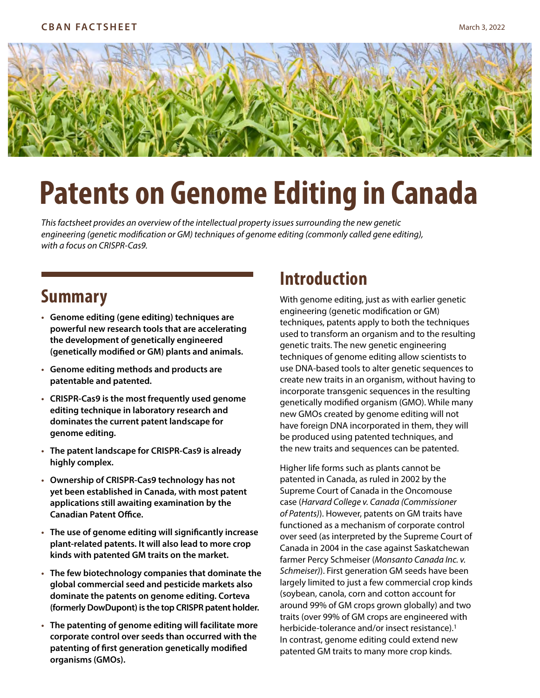

# **Patents on Genome Editing in Canada**

*This factsheet provides an overview of the intellectual property issues surrounding the new genetic engineering (genetic modification or GM) techniques of genome editing (commonly called gene editing), with a focus on CRISPR-Cas9.* 

### **Summary**

- **Genome editing (gene editing) techniques are powerful new research tools that are accelerating the development of genetically engineered (genetically modified or GM) plants and animals.**
- **Genome editing methods and products are patentable and patented.**
- **CRISPR-Cas9 is the most frequently used genome editing technique in laboratory research and dominates the current patent landscape for genome editing.**
- **The patent landscape for CRISPR-Cas9 is already highly complex.**
- **Ownership of CRISPR-Cas9 technology has not yet been established in Canada, with most patent applications still awaiting examination by the Canadian Patent Office.**
- **The use of genome editing will significantly increase plant-related patents. It will also lead to more crop kinds with patented GM traits on the market.**
- **The few biotechnology companies that dominate the global commercial seed and pesticide markets also dominate the patents on genome editing. Corteva (formerly DowDupont) is the top CRISPR patent holder.**
- **The patenting of genome editing will facilitate more corporate control over seeds than occurred with the patenting of first generation genetically modified organisms (GMOs).**

# **Introduction**

With genome editing, just as with earlier genetic engineering (genetic modification or GM) techniques, patents apply to both the techniques used to transform an organism and to the resulting genetic traits. The new genetic engineering techniques of genome editing allow scientists to use DNA-based tools to alter genetic sequences to create new traits in an organism, without having to incorporate transgenic sequences in the resulting genetically modified organism (GMO). While many new GMOs created by genome editing will not have foreign DNA incorporated in them, they will be produced using patented techniques, and the new traits and sequences can be patented.

Higher life forms such as plants cannot be patented in Canada, as ruled in 2002 by the Supreme Court of Canada in the Oncomouse case (*Harvard College v. Canada (Commissioner of Patents)*). However, patents on GM traits have functioned as a mechanism of corporate control over seed (as interpreted by the Supreme Court of Canada in 2004 in the case against Saskatchewan farmer Percy Schmeiser (*Monsanto Canada Inc. v. Schmeiser)*). First generation GM seeds have been largely limited to just a few commercial crop kinds (soybean, canola, corn and cotton account for around 99% of GM crops grown globally) and two traits (over 99% of GM crops are engineered with herbicide-tolerance and/or insect resistance).<sup>1</sup> In contrast, genome editing could extend new patented GM traits to many more crop kinds.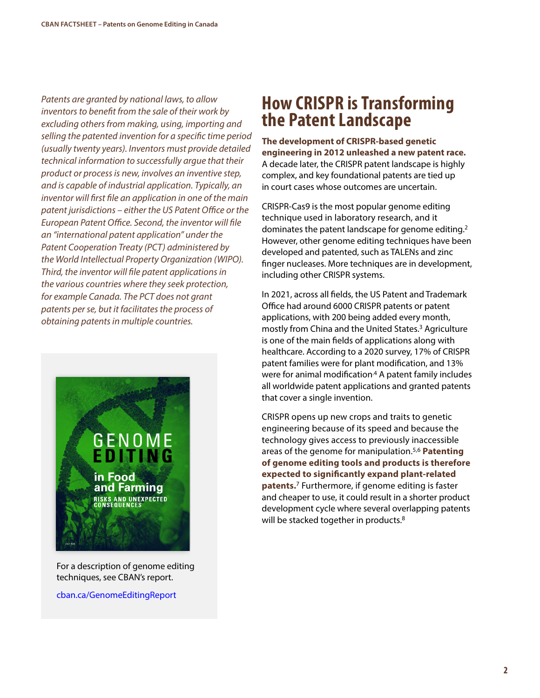*Patents are granted by national laws, to allow inventors to benefit from the sale of their work by excluding others from making, using, importing and selling the patented invention for a specific time period (usually twenty years). Inventors must provide detailed technical information to successfully argue that their product or process is new, involves an inventive step, and is capable of industrial application. Typically, an inventor will first file an application in one of the main patent jurisdictions – either the US Patent Office or the European Patent Office. Second, the inventor will file an "international patent application" under the Patent Cooperation Treaty (PCT) administered by the World Intellectual Property Organization (WIPO). Third, the inventor will file patent applications in the various countries where they seek protection, for example Canada. The PCT does not grant patents per se, but it facilitates the process of obtaining patents in multiple countries.* 



For a description of genome editing techniques, see CBAN's report.

[cban.ca/GenomeEditingReport](http://www.cban.ca/GenomeEditingReport)

### **How CRISPR is Transforming the Patent Landscape**

**The development of CRISPR-based genetic engineering in 2012 unleashed a new patent race.** A decade later, the CRISPR patent landscape is highly complex, and key foundational patents are tied up in court cases whose outcomes are uncertain.

CRISPR-Cas9 is the most popular genome editing technique used in laboratory research, and it dominates the patent landscape for genome editing.2 However, other genome editing techniques have been developed and patented, such as TALENs and zinc finger nucleases. More techniques are in development, including other CRISPR systems.

In 2021, across all fields, the US Patent and Trademark Office had around 6000 CRISPR patents or patent applications, with 200 being added every month, mostly from China and the United States.3 Agriculture is one of the main fields of applications along with healthcare. According to a 2020 survey, 17% of CRISPR patent families were for plant modification, and 13% were for animal modification<sup>4</sup> A patent family includes all worldwide patent applications and granted patents that cover a single invention.

CRISPR opens up new crops and traits to genetic engineering because of its speed and because the technology gives access to previously inaccessible areas of the genome for manipulation.5,6 **Patenting of genome editing tools and products is therefore expected to significantly expand plant-related patents.**7 Furthermore, if genome editing is faster and cheaper to use, it could result in a shorter product development cycle where several overlapping patents will be stacked together in products.<sup>8</sup>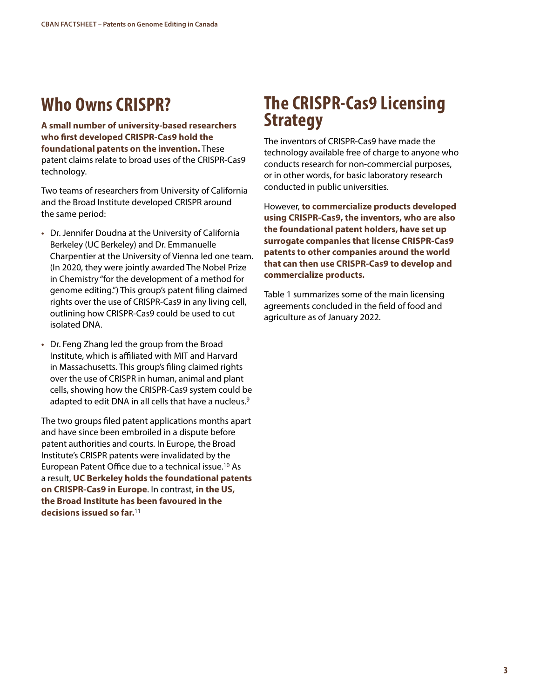# **Who Owns CRISPR?**

**A small number of university-based researchers who first developed CRISPR-Cas9 hold the foundational patents on the invention.** These patent claims relate to broad uses of the CRISPR-Cas9 technology.

Two teams of researchers from University of California and the Broad Institute developed CRISPR around the same period:

- Dr. Jennifer Doudna at the University of California Berkeley (UC Berkeley) and Dr. Emmanuelle Charpentier at the University of Vienna led one team. (In 2020, they were jointly awarded The Nobel Prize in Chemistry "for the development of a method for genome editing.") This group's patent filing claimed rights over the use of CRISPR-Cas9 in any living cell, outlining how CRISPR-Cas9 could be used to cut isolated DNA.
- Dr. Feng Zhang led the group from the Broad Institute, which is affiliated with MIT and Harvard in Massachusetts. This group's filing claimed rights over the use of CRISPR in human, animal and plant cells, showing how the CRISPR-Cas9 system could be adapted to edit DNA in all cells that have a nucleus.<sup>9</sup>

The two groups filed patent applications months apart and have since been embroiled in a dispute before patent authorities and courts. In Europe, the Broad Institute's CRISPR patents were invalidated by the European Patent Office due to a technical issue.10 As a result, **UC Berkeley holds the foundational patents on CRISPR-Cas9 in Europe**. In contrast, **in the US, the Broad Institute has been favoured in the decisions issued so far.**11

## **The CRISPR-Cas9 Licensing Strategy**

The inventors of CRISPR-Cas9 have made the technology available free of charge to anyone who conducts research for non-commercial purposes, or in other words, for basic laboratory research conducted in public universities.

However, **to commercialize products developed using CRISPR-Cas9, the inventors, who are also the foundational patent holders, have set up surrogate companies that license CRISPR-Cas9 patents to other companies around the world that can then use CRISPR-Cas9 to develop and commercialize products.** 

Table 1 summarizes some of the main licensing agreements concluded in the field of food and agriculture as of January 2022.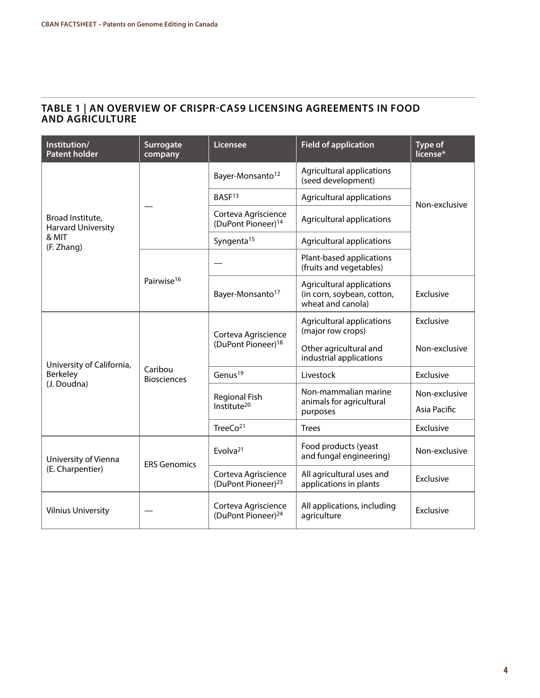#### **TABLE 1 | AN OVERVIEW OF CRISPR-CAS9 LICENSING AGREEMENTS IN FOOD AND AGRICULTURE**

| Institution/<br><b>Patent holder</b>                          | <b>Surrogate</b><br>company   | <b>Licensee</b>                                       | <b>Field of application</b>                                                  | <b>Type of</b><br>license* |
|---------------------------------------------------------------|-------------------------------|-------------------------------------------------------|------------------------------------------------------------------------------|----------------------------|
| Broad Institute,<br>Harvard University<br>& MIT<br>(F. Zhang) |                               | Bayer-Monsanto <sup>12</sup>                          | Agricultural applications<br>(seed development)                              | Non-exclusive              |
|                                                               |                               | BASF <sup>13</sup>                                    | Agricultural applications                                                    |                            |
|                                                               |                               | Corteva Agriscience<br>(DuPont Pioneer) <sup>14</sup> | Agricultural applications                                                    |                            |
|                                                               |                               | Syngenta <sup>15</sup>                                | Agricultural applications                                                    |                            |
|                                                               | Pairwise <sup>16</sup>        |                                                       | Plant-based applications<br>(fruits and vegetables)                          |                            |
|                                                               |                               | Bayer-Monsanto <sup>17</sup>                          | Agricultural applications<br>(in corn, soybean, cotton,<br>wheat and canola) | Exclusive                  |
| University of California,<br>Berkeley<br>(J. Doudna)          | Caribou<br><b>Biosciences</b> | Corteva Agriscience<br>(DuPont Pioneer) <sup>18</sup> | Agricultural applications<br>(major row crops)                               | Exclusive                  |
|                                                               |                               |                                                       | Other agricultural and<br>industrial applications                            | Non-exclusive              |
|                                                               |                               | Genus <sup>19</sup>                                   | Livestock                                                                    | Exclusive                  |
|                                                               |                               | <b>Regional Fish</b><br>Institute <sup>20</sup>       | Non-mammalian marine<br>animals for agricultural<br>purposes                 | Non-exclusive              |
|                                                               |                               |                                                       |                                                                              | Asia Pacific               |
|                                                               |                               | Tree $Co21$                                           | <b>Trees</b>                                                                 | Exclusive                  |
| University of Vienna<br>(E. Charpentier)                      | <b>ERS Genomics</b>           | Evolva $21$                                           | Food products (yeast<br>and fungal engineering)                              | Non-exclusive              |
|                                                               |                               | Corteva Agriscience<br>(DuPont Pioneer) <sup>23</sup> | All agricultural uses and<br>applications in plants                          | Exclusive                  |
| <b>Vilnius University</b>                                     |                               | Corteva Agriscience<br>(DuPont Pioneer) <sup>24</sup> | All applications, including<br>agriculture                                   | Exclusive                  |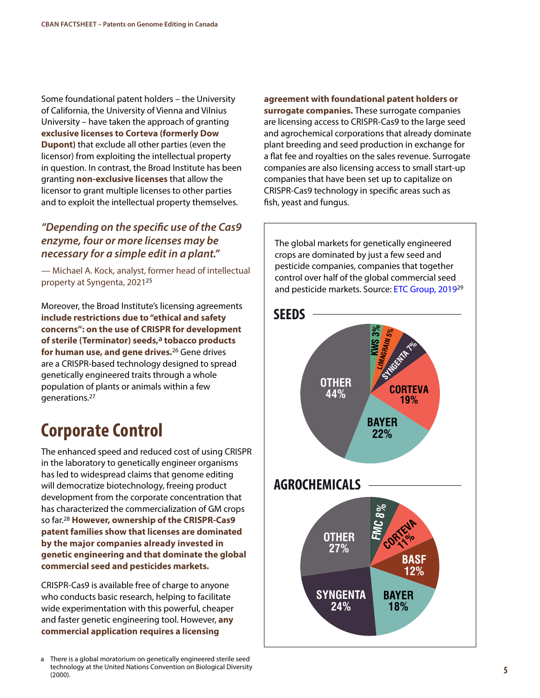Some foundational patent holders – the University of California, the University of Vienna and Vilnius University – have taken the approach of granting **exclusive licenses to Corteva (formerly Dow Dupont)** that exclude all other parties (even the licensor) from exploiting the intellectual property in question. In contrast, the Broad Institute has been granting **non-exclusive licenses** that allow the licensor to grant multiple licenses to other parties and to exploit the intellectual property themselves.

#### *"Depending on the specific use of the Cas9 enzyme, four or more licenses may be necessary for a simple edit in a plant."*

— Michael A. Kock, analyst, former head of intellectual property at Syngenta, 2021<sup>25</sup>

Moreover, the Broad Institute's licensing agreements **include restrictions due to "ethical and safety concerns": on the use of CRISPR for development of sterile (Terminator) seeds,**a **tobacco products for human use, and gene drives.**26 Gene drives are a CRISPR-based technology designed to spread genetically engineered traits through a whole population of plants or animals within a few generations.27

# **Corporate Control**

The enhanced speed and reduced cost of using CRISPR in the laboratory to genetically engineer organisms has led to widespread claims that genome editing will democratize biotechnology, freeing product development from the corporate concentration that has characterized the commercialization of GM crops so far.28 **However, ownership of the CRISPR-Cas9 patent families show that licenses are dominated by the major companies already invested in genetic engineering and that dominate the global commercial seed and pesticides markets.** 

CRISPR-Cas9 is available free of charge to anyone who conducts basic research, helping to facilitate wide experimentation with this powerful, cheaper and faster genetic engineering tool. However, **any commercial application requires a licensing** 

**agreement with foundational patent holders or surrogate companies.** These surrogate companies are licensing access to CRISPR-Cas9 to the large seed and agrochemical corporations that already dominate plant breeding and seed production in exchange for a flat fee and royalties on the sales revenue. Surrogate companies are also licensing access to small start-up companies that have been set up to capitalize on CRISPR-Cas9 technology in specific areas such as fish, yeast and fungus.

The global markets for genetically engineered crops are dominated by just a few seed and pesticide companies, companies that together control over half of the global commercial seed and pesticide markets. Source: [ETC Group, 2019](https://etcgroup.org/content/plate-tech-tonics)<sup>29</sup>



There is a global moratorium on genetically engineered sterile seed technology at the United Nations Convention on Biological Diversity (2000).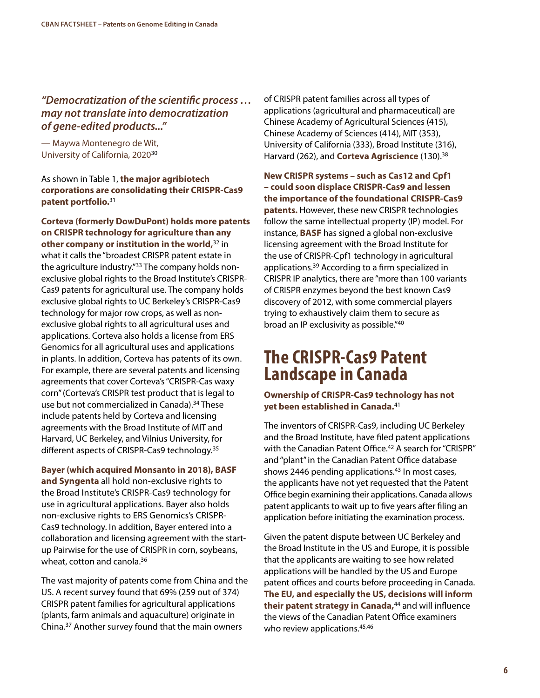#### *"Democratization of the scientific process … may not translate into democratization of gene-edited products..."*

— Maywa Montenegro de Wit, University of California, 202030

#### As shown in Table 1, **the major agribiotech corporations are consolidating their CRISPR-Cas9 patent portfolio.**<sup>31</sup>

**Corteva (formerly DowDuPont) holds more patents on CRISPR technology for agriculture than any other company or institution in the world,**32 in what it calls the "broadest CRISPR patent estate in the agriculture industry."33 The company holds nonexclusive global rights to the Broad Institute's CRISPR-Cas9 patents for agricultural use. The company holds exclusive global rights to UC Berkeley's CRISPR-Cas9 technology for major row crops, as well as nonexclusive global rights to all agricultural uses and applications. Corteva also holds a license from ERS Genomics for all agricultural uses and applications in plants. In addition, Corteva has patents of its own. For example, there are several patents and licensing agreements that cover Corteva's "CRISPR-Cas waxy corn" (Corteva's CRISPR test product that is legal to use but not commercialized in Canada).<sup>34</sup> These include patents held by Corteva and licensing agreements with the Broad Institute of MIT and Harvard, UC Berkeley, and Vilnius University, for different aspects of CRISPR-Cas9 technology.35

**Bayer (which acquired Monsanto in 2018), BASF and Syngenta** all hold non-exclusive rights to the Broad Institute's CRISPR-Cas9 technology for use in agricultural applications. Bayer also holds non-exclusive rights to ERS Genomics's CRISPR-Cas9 technology. In addition, Bayer entered into a collaboration and licensing agreement with the startup Pairwise for the use of CRISPR in corn, soybeans, wheat, cotton and canola.<sup>36</sup>

The vast majority of patents come from China and the US. A recent survey found that 69% (259 out of 374) CRISPR patent families for agricultural applications (plants, farm animals and aquaculture) originate in China.37 Another survey found that the main owners

of CRISPR patent families across all types of applications (agricultural and pharmaceutical) are Chinese Academy of Agricultural Sciences (415), Chinese Academy of Sciences (414), MIT (353), University of California (333), Broad Institute (316), Harvard (262), and **Corteva Agriscience** (130).38

**New CRISPR systems – such as Cas12 and Cpf1 – could soon displace CRISPR-Cas9 and lessen the importance of the foundational CRISPR-Cas9 patents.** However, these new CRISPR technologies follow the same intellectual property (IP) model. For instance, **BASF** has signed a global non-exclusive licensing agreement with the Broad Institute for the use of CRISPR-Cpf1 technology in agricultural applications.39 According to a firm specialized in CRISPR IP analytics, there are "more than 100 variants of CRISPR enzymes beyond the best known Cas9 discovery of 2012, with some commercial players trying to exhaustively claim them to secure as broad an IP exclusivity as possible."40

### **The CRISPR-Cas9 Patent Landscape in Canada**

#### **Ownership of CRISPR-Cas9 technology has not yet been established in Canada.**<sup>41</sup>

The inventors of CRISPR-Cas9, including UC Berkeley and the Broad Institute, have filed patent applications with the Canadian Patent Office.<sup>42</sup> A search for "CRISPR" and "plant" in the Canadian Patent Office database shows 2446 pending applications.<sup>43</sup> In most cases, the applicants have not yet requested that the Patent Office begin examining their applications. Canada allows patent applicants to wait up to five years after filing an application before initiating the examination process.

Given the patent dispute between UC Berkeley and the Broad Institute in the US and Europe, it is possible that the applicants are waiting to see how related applications will be handled by the US and Europe patent offices and courts before proceeding in Canada. **The EU, and especially the US, decisions will inform their patent strategy in Canada,**44 and will influence the views of the Canadian Patent Office examiners who review applications.<sup>45,46</sup>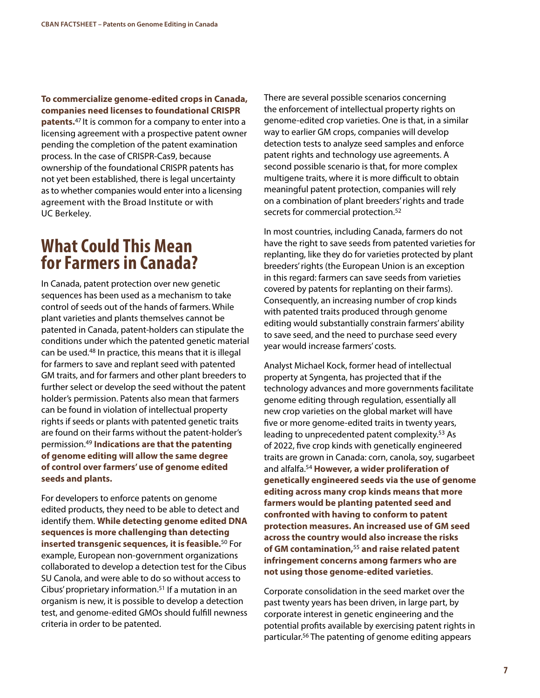**To commercialize genome-edited crops in Canada, companies need licenses to foundational CRISPR patents.**47 It is common for a company to enter into a licensing agreement with a prospective patent owner pending the completion of the patent examination process. In the case of CRISPR-Cas9, because ownership of the foundational CRISPR patents has not yet been established, there is legal uncertainty as to whether companies would enter into a licensing agreement with the Broad Institute or with UC Berkeley.

### **What Could This Mean for Farmers in Canada?**

In Canada, patent protection over new genetic sequences has been used as a mechanism to take control of seeds out of the hands of farmers. While plant varieties and plants themselves cannot be patented in Canada, patent-holders can stipulate the conditions under which the patented genetic material can be used.48 In practice, this means that it is illegal for farmers to save and replant seed with patented GM traits, and for farmers and other plant breeders to further select or develop the seed without the patent holder's permission. Patents also mean that farmers can be found in violation of intellectual property rights if seeds or plants with patented genetic traits are found on their farms without the patent-holder's permission.49 **Indications are that the patenting of genome editing will allow the same degree of control over farmers' use of genome edited seeds and plants.**

For developers to enforce patents on genome edited products, they need to be able to detect and identify them. **While detecting genome edited DNA sequences is more challenging than detecting inserted transgenic sequences, it is feasible.**50 For example, European non-government organizations collaborated to develop a detection test for the Cibus SU Canola, and were able to do so without access to Cibus' proprietary information.51 If a mutation in an organism is new, it is possible to develop a detection test, and genome-edited GMOs should fulfill newness criteria in order to be patented.

There are several possible scenarios concerning the enforcement of intellectual property rights on genome-edited crop varieties. One is that, in a similar way to earlier GM crops, companies will develop detection tests to analyze seed samples and enforce patent rights and technology use agreements. A second possible scenario is that, for more complex multigene traits, where it is more difficult to obtain meaningful patent protection, companies will rely on a combination of plant breeders' rights and trade secrets for commercial protection.<sup>52</sup>

In most countries, including Canada, farmers do not have the right to save seeds from patented varieties for replanting, like they do for varieties protected by plant breeders' rights (the European Union is an exception in this regard: farmers can save seeds from varieties covered by patents for replanting on their farms). Consequently, an increasing number of crop kinds with patented traits produced through genome editing would substantially constrain farmers' ability to save seed, and the need to purchase seed every year would increase farmers' costs.

Analyst Michael Kock, former head of intellectual property at Syngenta, has projected that if the technology advances and more governments facilitate genome editing through regulation, essentially all new crop varieties on the global market will have five or more genome-edited traits in twenty years, leading to unprecedented patent complexity.<sup>53</sup> As of 2022, five crop kinds with genetically engineered traits are grown in Canada: corn, canola, soy, sugarbeet and alfalfa.54 **However, a wider proliferation of genetically engineered seeds via the use of genome editing across many crop kinds means that more farmers would be planting patented seed and confronted with having to conform to patent protection measures. An increased use of GM seed across the country would also increase the risks of GM contamination,**<sup>55</sup> **and raise related patent infringement concerns among farmers who are not using those genome-edited varieties**.

Corporate consolidation in the seed market over the past twenty years has been driven, in large part, by corporate interest in genetic engineering and the potential profits available by exercising patent rights in particular.56 The patenting of genome editing appears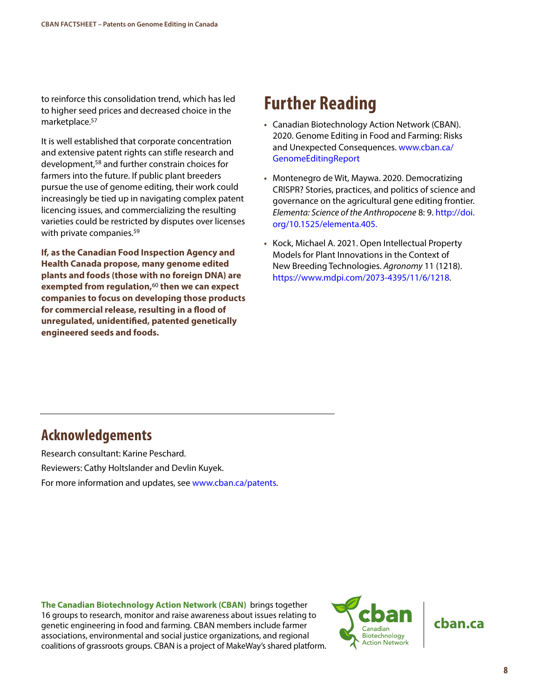to reinforce this consolidation trend, which has led to higher seed prices and decreased choice in the marketplace.57

It is well established that corporate concentration and extensive patent rights can stifle research and development,58 and further constrain choices for farmers into the future. If public plant breeders pursue the use of genome editing, their work could increasingly be tied up in navigating complex patent licencing issues, and commercializing the resulting varieties could be restricted by disputes over licenses with private companies.<sup>59</sup>

**If, as the Canadian Food Inspection Agency and Health Canada propose, many genome edited plants and foods (those with no foreign DNA) are exempted from regulation,**<sup>60</sup> **then we can expect companies to focus on developing those products for commercial release, resulting in a flood of unregulated, unidentified, patented genetically engineered seeds and foods.** 

# **Further Reading**

- Canadian Biotechnology Action Network (CBAN). 2020. Genome Editing in Food and Farming: Risks and Unexpected Consequences. [www.cban.ca/](http://www.cban.ca/GenomeEditingReport2020) [GenomeEditingReport](http://www.cban.ca/GenomeEditingReport2020)
- Montenegro de Wit, Maywa. 2020. Democratizing CRISPR? Stories, practices, and politics of science and governance on the agricultural gene editing frontier. *Elementa: Science of the Anthropocene* 8: 9. [http://doi.](http://doi.org/10.1525/elementa.405) [org/10.1525/elementa.405.](http://doi.org/10.1525/elementa.405)
- Kock, Michael A. 2021. Open Intellectual Property Models for Plant Innovations in the Context of New Breeding Technologies. *Agronomy* 11 (1218). [https://www.mdpi.com/2073-4395/11/6/1218.](https://www.mdpi.com/2073-4395/11/6/1218)

### **Acknowledgements**

Research consultant: Karine Peschard. Reviewers: Cathy Holtslander and Devlin Kuyek. For more information and updates, see [www.cban.ca/patents](http://www.cban.ca/patents).

**The Canadian Biotechnology Action Network (CBAN)** brings together 16 groups to research, monitor and raise awareness about issues relating to genetic engineering in food and farming. CBAN members include farmer associations, environmental and social justice organizations, and regional coalitions of grassroots groups. CBAN is a project of MakeWay's shared platform.

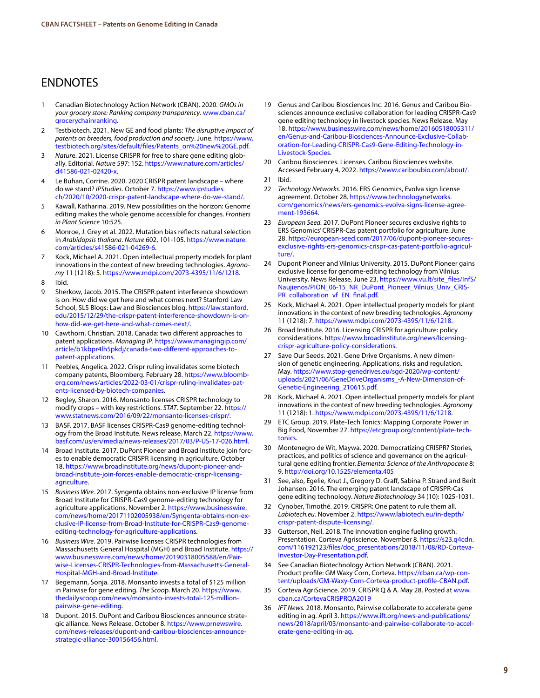#### ENDNOTES

- 1 Canadian Biotechnology Action Network (CBAN). 2020. *GMOs in your grocery store: Ranking company transparency*. [www.cban.ca/](http://www.cban.ca/grocerychainranking) [grocerychainranking.](http://www.cban.ca/grocerychainranking)
- 2 Testbiotech. 2021. New GE and food plants: *The disruptive impact of patents on breeders, food production and society*. June. [https://www.](https://www.testbiotech.org/sites/default/files/Patents_on%20new%20GE.pdf) [testbiotech.org/sites/default/files/Patents\\_on%20new%20GE.pdf.](https://www.testbiotech.org/sites/default/files/Patents_on%20new%20GE.pdf)
- 3 *Natur*e. 2021. License CRISPR for free to share gene editing globally. Editorial. *Nature* 597: 152. [https://www.nature.com/articles/](https://www.nature.com/articles/d41586-021-02420-x) [d41586-021-02420-x](https://www.nature.com/articles/d41586-021-02420-x).
- 4 Le Buhan, Corrine. 2020. 2020 CRISPR patent landscape where do we stand? *IPStudies*. October 7. [https://www.ipstudies.](https://www.ipstudies.ch/2020/10/2020-crispr-patent-landscape-where-do-we-stand/) [ch/2020/10/2020-crispr-patent-landscape-where-do-we-stand/.](https://www.ipstudies.ch/2020/10/2020-crispr-patent-landscape-where-do-we-stand/)
- 5 Kawall, Katharina. 2019. New possibilities on the horizon: Genome editing makes the whole genome accessible for changes. *Frontiers in Plant Science* 10:525.
- 6 Monroe, J. Grey et al. 2022. Mutation bias reflects natural selection in *Arabidopsis thaliana*. *Nature* 602, 101-105. [https://www.nature.](https://www.nature.com/articles/s41586-021-04269-6) [com/articles/s41586-021-04269-6.](https://www.nature.com/articles/s41586-021-04269-6)
- 7 Kock, Michael A. 2021. Open intellectual property models for plant innovations in the context of new breeding technologies. *Agronomy* 11 (1218): 5. <https://www.mdpi.com/2073-4395/11/6/1218>.
- 8 Ibid.
- 9 Sherkow, Jacob. 2015. The CRISPR patent interference showdown is on: How did we get here and what comes next? Stanford Law School, SLS Blogs: Law and Biosciences blog. [https://law.stanford.](https://law.stanford.edu/2015/12/29/the-crispr-patent-interference-showdown-is-on-how-did-we-get-here-and-what-comes-next/) [edu/2015/12/29/the-crispr-patent-interference-showdown-is-on](https://law.stanford.edu/2015/12/29/the-crispr-patent-interference-showdown-is-on-how-did-we-get-here-and-what-comes-next/)[how-did-we-get-here-and-what-comes-next/](https://law.stanford.edu/2015/12/29/the-crispr-patent-interference-showdown-is-on-how-did-we-get-here-and-what-comes-next/).
- 10 Cawthorn, Christian. 2018. Canada: two different approaches to patent applications. *Managing IP*. [https://www.managingip.com/](https://www.managingip.com/article/b1kbpr4lh5pkdj/canada-two-different-approaches-to-patent-applications) [article/b1kbpr4lh5pkdj/canada-two-different-approaches-to](https://www.managingip.com/article/b1kbpr4lh5pkdj/canada-two-different-approaches-to-patent-applications)[patent-applications.](https://www.managingip.com/article/b1kbpr4lh5pkdj/canada-two-different-approaches-to-patent-applications)
- 11 Peebles, Angelica. 2022. Crispr ruling invalidates some biotech company patents, Bloomberg. February 28. [https://www.bloomb](https://www.bloomberg.com/news/articles/2022-03-01/crispr-ruling-invalidates-patents-licensed-by-biotech-companies)[erg.com/news/articles/2022-03-01/crispr-ruling-invalidates-pat](https://www.bloomberg.com/news/articles/2022-03-01/crispr-ruling-invalidates-patents-licensed-by-biotech-companies)[ents-licensed-by-biotech-companies.](https://www.bloomberg.com/news/articles/2022-03-01/crispr-ruling-invalidates-patents-licensed-by-biotech-companies)
- 12 Begley, Sharon. 2016. Monsanto licenses CRISPR technology to modify crops – with key restrictions. *STAT*. September 22. [https://](https://www.statnews.com/2016/09/22/monsanto-licenses-crispr/) [www.statnews.com/2016/09/22/monsanto-licenses-crispr/](https://www.statnews.com/2016/09/22/monsanto-licenses-crispr/).
- 13 BASF. 2017. BASF licenses CRISPR-Cas9 genome-editing technology from the Broad Institute. News release. March 22. [https://www.](https://www.basf.com/us/en/media/news-releases/2017/03/P-US-17-026.html) [basf.com/us/en/media/news-releases/2017/03/P-US-17-026.html.](https://www.basf.com/us/en/media/news-releases/2017/03/P-US-17-026.html)
- Broad Institute. 2017. DuPont Pioneer and Broad Institute join forces to enable democratic CRISPR licensing in agriculture. October 18. [https://www.broadinstitute.org/news/dupont-pioneer-and](https://www.broadinstitute.org/news/dupont-pioneer-and-broad-institute-join-forces-enable-democratic-crispr-licensing-agriculture)[broad-institute-join-forces-enable-democratic-crispr-licensing](https://www.broadinstitute.org/news/dupont-pioneer-and-broad-institute-join-forces-enable-democratic-crispr-licensing-agriculture)[agriculture](https://www.broadinstitute.org/news/dupont-pioneer-and-broad-institute-join-forces-enable-democratic-crispr-licensing-agriculture).
- 15 *Business Wire.* 2017. Syngenta obtains non-exclusive IP license from Broad Institute for CRISPR-Cas9 genome-editing technology for agriculture applications. November 2. [https://www.businesswire.](https://www.businesswire.com/news/home/20171102005938/en/Syngenta-obtains-non-exclusive-IP-license-from-Broad-Institute-for-CRISPR-Cas9-genome-editing-technology-for-agriculture-applications) [com/news/home/20171102005938/en/Syngenta-obtains-non-ex](https://www.businesswire.com/news/home/20171102005938/en/Syngenta-obtains-non-exclusive-IP-license-from-Broad-Institute-for-CRISPR-Cas9-genome-editing-technology-for-agriculture-applications)[clusive-IP-license-from-Broad-Institute-for-CRISPR-Cas9-genome](https://www.businesswire.com/news/home/20171102005938/en/Syngenta-obtains-non-exclusive-IP-license-from-Broad-Institute-for-CRISPR-Cas9-genome-editing-technology-for-agriculture-applications)[editing-technology-for-agriculture-applications.](https://www.businesswire.com/news/home/20171102005938/en/Syngenta-obtains-non-exclusive-IP-license-from-Broad-Institute-for-CRISPR-Cas9-genome-editing-technology-for-agriculture-applications)
- 16 *Business Wire*. 2019. Pairwise licenses CRISPR technologies from Massachusetts General Hospital (MGH) and Broad Institute. [https://](https://www.businesswire.com/news/home/20190318005588/en/Pairwise-Licenses-CRISPR-Technologies-from-Massachusetts-General-Hospital-MGH-and-Broad-Institute) [www.businesswire.com/news/home/20190318005588/en/Pair](https://www.businesswire.com/news/home/20190318005588/en/Pairwise-Licenses-CRISPR-Technologies-from-Massachusetts-General-Hospital-MGH-and-Broad-Institute)[wise-Licenses-CRISPR-Technologies-from-Massachusetts-General-](https://www.businesswire.com/news/home/20190318005588/en/Pairwise-Licenses-CRISPR-Technologies-from-Massachusetts-General-Hospital-MGH-and-Broad-Institute)[Hospital-MGH-and-Broad-Institute](https://www.businesswire.com/news/home/20190318005588/en/Pairwise-Licenses-CRISPR-Technologies-from-Massachusetts-General-Hospital-MGH-and-Broad-Institute).
- 17 Begemann, Sonja. 2018. Monsanto invests a total of \$125 million in Pairwise for gene editing. *The Scoo*p. March 20. [https://www.](https://www.thedailyscoop.com/news/monsanto-invests-total-125-million-pairwise-gene-editing) [thedailyscoop.com/news/monsanto-invests-total-125-million](https://www.thedailyscoop.com/news/monsanto-invests-total-125-million-pairwise-gene-editing)[pairwise-gene-editing.](https://www.thedailyscoop.com/news/monsanto-invests-total-125-million-pairwise-gene-editing)
- 18 Dupont. 2015. DuPont and Caribou Biosciences announce strategic alliance. News Release. October 8. [https://www.prnewswire.](https://www.prnewswire.com/news-releases/dupont-and-caribou-biosciences-announce-strategic-alliance-300156456.html) [com/news-releases/dupont-and-caribou-biosciences-announce](https://www.prnewswire.com/news-releases/dupont-and-caribou-biosciences-announce-strategic-alliance-300156456.html)[strategic-alliance-300156456.html](https://www.prnewswire.com/news-releases/dupont-and-caribou-biosciences-announce-strategic-alliance-300156456.html).
- 19 Genus and Caribou Biosciences Inc. 2016. Genus and Caribou Biosciences announce exclusive collaboration for leading CRISPR-Cas9 gene editing technology in livestock species. News Release. May 18. [https://www.businesswire.com/news/home/20160518005311/](https://www.businesswire.com/news/home/20160518005311/en/Genus-and-Caribou-Biosciences-Announce-Exclusive-Collaboration-for-Leading-CRISPR-Cas9-Gene-Editing-Technology-in-Livestock-Species) [en/Genus-and-Caribou-Biosciences-Announce-Exclusive-Collab](https://www.businesswire.com/news/home/20160518005311/en/Genus-and-Caribou-Biosciences-Announce-Exclusive-Collaboration-for-Leading-CRISPR-Cas9-Gene-Editing-Technology-in-Livestock-Species)[oration-for-Leading-CRISPR-Cas9-Gene-Editing-Technology-in-](https://www.businesswire.com/news/home/20160518005311/en/Genus-and-Caribou-Biosciences-Announce-Exclusive-Collaboration-for-Leading-CRISPR-Cas9-Gene-Editing-Technology-in-Livestock-Species)[Livestock-Species](https://www.businesswire.com/news/home/20160518005311/en/Genus-and-Caribou-Biosciences-Announce-Exclusive-Collaboration-for-Leading-CRISPR-Cas9-Gene-Editing-Technology-in-Livestock-Species).
- 20 Caribou Biosciences. Licenses. Caribou Biosciences website. Accessed February 4, 2022. <https://www.cariboubio.com/about/>. 21 Ibid.
- 
- 22 *Technology Networks*. 2016. ERS Genomics, Evolva sign license agreement. October 28. [https://www.technologynetworks.](https://www.technologynetworks.com/genomics/news/ers-genomics-evolva-signs-license-agreement-193664) [com/genomics/news/ers-genomics-evolva-signs-license-agree](https://www.technologynetworks.com/genomics/news/ers-genomics-evolva-signs-license-agreement-193664)[ment-193664.](https://www.technologynetworks.com/genomics/news/ers-genomics-evolva-signs-license-agreement-193664)
- 23 *European Seed.* 2017. DuPont Pioneer secures exclusive rights to ERS Genomics' CRISPR-Cas patent portfolio for agriculture. June 28. [https://european-seed.com/2017/06/dupont-pioneer-secures](https://european-seed.com/2017/06/dupont-pioneer-secures-exclusive-rights-ers-genomics-crispr-cas-patent-portfolio-agriculture/)[exclusive-rights-ers-genomics-crispr-cas-patent-portfolio-agricul](https://european-seed.com/2017/06/dupont-pioneer-secures-exclusive-rights-ers-genomics-crispr-cas-patent-portfolio-agriculture/)[ture/.](https://european-seed.com/2017/06/dupont-pioneer-secures-exclusive-rights-ers-genomics-crispr-cas-patent-portfolio-agriculture/)
- 24 Dupont Pioneer and Vilnius University. 2015. DuPont Pioneer gains exclusive license for genome-editing technology from Vilnius University. News Release. June 23. [https://www.vu.lt/site\\_files/InfS/](https://www.vu.lt/site_files/InfS/Naujienos/PION_06-15_NR_DuPont_Pioneer_Vilnius_Univ_CRISPR_collaboration_vf_EN_final.pdf) [Naujienos/PION\\_06-15\\_NR\\_DuPont\\_Pioneer\\_Vilnius\\_Univ\\_CRIS-](https://www.vu.lt/site_files/InfS/Naujienos/PION_06-15_NR_DuPont_Pioneer_Vilnius_Univ_CRISPR_collaboration_vf_EN_final.pdf)[PR\\_collaboration\\_vf\\_EN\\_final.pdf.](https://www.vu.lt/site_files/InfS/Naujienos/PION_06-15_NR_DuPont_Pioneer_Vilnius_Univ_CRISPR_collaboration_vf_EN_final.pdf)
- 25 Kock, Michael A. 2021. Open intellectual property models for plant innovations in the context of new breeding technologies. *Agronomy* 11 (1218): 7. [https://www.mdpi.com/2073-4395/11/6/1218.](https://www.mdpi.com/2073-4395/11/6/1218)
- 26 Broad Institute. 2016. Licensing CRISPR for agriculture: policy considerations. [https://www.broadinstitute.org/news/licensing](https://www.broadinstitute.org/news/licensing-crispr-agriculture-policy-considerations)[crispr-agriculture-policy-considerations](https://www.broadinstitute.org/news/licensing-crispr-agriculture-policy-considerations).
- 27 Save Our Seeds. 2021. Gene Drive Organisms. A new dimension of genetic engineering. Applications, risks and regulation. May. [https://www.stop-genedrives.eu/sgd-2020/wp-content/](https://www.stop-genedrives.eu/sgd-2020/wp-content/uploads/2021/06/GeneDriveOrganisms_-A-New-Dimension-of-Genetic-Engineering_210615.pdf) [uploads/2021/06/GeneDriveOrganisms\\_-A-New-Dimension-of-](https://www.stop-genedrives.eu/sgd-2020/wp-content/uploads/2021/06/GeneDriveOrganisms_-A-New-Dimension-of-Genetic-Engineering_210615.pdf)[Genetic-Engineering\\_210615.pdf.](https://www.stop-genedrives.eu/sgd-2020/wp-content/uploads/2021/06/GeneDriveOrganisms_-A-New-Dimension-of-Genetic-Engineering_210615.pdf)
- 28 Kock, Michael A. 2021. Open intellectual property models for plant innovations in the context of new breeding technologies. *Agronomy* 11 (1218): 1. [https://www.mdpi.com/2073-4395/11/6/1218.](https://www.mdpi.com/2073-4395/11/6/1218)
- 29 ETC Group. 2019. Plate-Tech Tonics: Mapping Corporate Power in Big Food, November 27. [https://etcgroup.org/content/plate-tech](https://etcgroup.org/content/plate-tech-tonics)[tonics.](https://etcgroup.org/content/plate-tech-tonics)
- 30 Montenegro de Wit, Maywa. 2020. Democratizing CRISPR? Stories, practices, and politics of science and governance on the agricultural gene editing frontier. *Elementa: Science of the Anthropocene* 8: 9. <http://doi.org/10.1525/elementa.405>
- 31 See, also, Egelie, Knut J., Gregory D. Graff, Sabina P. Strand and Berit Johansen. 2016. The emerging patent landscape of CRISPR-Cas gene editing technology. *Nature Biotechnology* 34 (10): 1025-1031.
- 32 Cynober, Timothé. 2019. CRISPR: One patent to rule them all. *Labiotech.eu.* November 2. [https://www.labiotech.eu/in-depth/](https://www.labiotech.eu/in-depth/crispr-patent-dispute-licensing/) [crispr-patent-dispute-licensing/](https://www.labiotech.eu/in-depth/crispr-patent-dispute-licensing/).
- 33 Gutterson, Neil. 2018. The innovation engine fueling growth. Presentation. Corteva Agriscience. November 8. [https://s23.q4cdn.](https://s23.q4cdn.com/116192123/files/doc_presentations/2018/11/08/RD-Corteva-Investor-Day-Presentation.pdf) [com/116192123/files/doc\\_presentations/2018/11/08/RD-Corteva-](https://s23.q4cdn.com/116192123/files/doc_presentations/2018/11/08/RD-Corteva-Investor-Day-Presentation.pdf)[Investor-Day-Presentation.pdf](https://s23.q4cdn.com/116192123/files/doc_presentations/2018/11/08/RD-Corteva-Investor-Day-Presentation.pdf).
- 34 See Canadian Biotechnology Action Network (CBAN). 2021. Product profile: GM Waxy Corn, Corteva. [https://cban.ca/wp-con](https://cban.ca/wp-content/uploads/GM-Waxy-Corn-Corteva-product-profile-CBAN.pdf)[tent/uploads/GM-Waxy-Corn-Corteva-product-profile-CBAN.pdf.](https://cban.ca/wp-content/uploads/GM-Waxy-Corn-Corteva-product-profile-CBAN.pdf)
- 35 Corteva AgriScience. 2019. CRISPR Q & A. May 28. Posted at [www.](http://www.cban.ca/CortevaCRISPRQA2019) [cban.ca/CortevaCRISPRQA2019](http://www.cban.ca/CortevaCRISPRQA2019)
- 36 *IFT News.* 2018. Monsanto, Pairwise collaborate to accelerate gene editing in ag. April 3. [https://www.ift.org/news-and-publications/](https://www.ift.org/news-and-publications/news/2018/april/03/monsanto-and-pairwise-collaborate-to-accelerate-gene-editing-in-ag) [news/2018/april/03/monsanto-and-pairwise-collaborate-to-accel](https://www.ift.org/news-and-publications/news/2018/april/03/monsanto-and-pairwise-collaborate-to-accelerate-gene-editing-in-ag)[erate-gene-editing-in-ag](https://www.ift.org/news-and-publications/news/2018/april/03/monsanto-and-pairwise-collaborate-to-accelerate-gene-editing-in-ag).